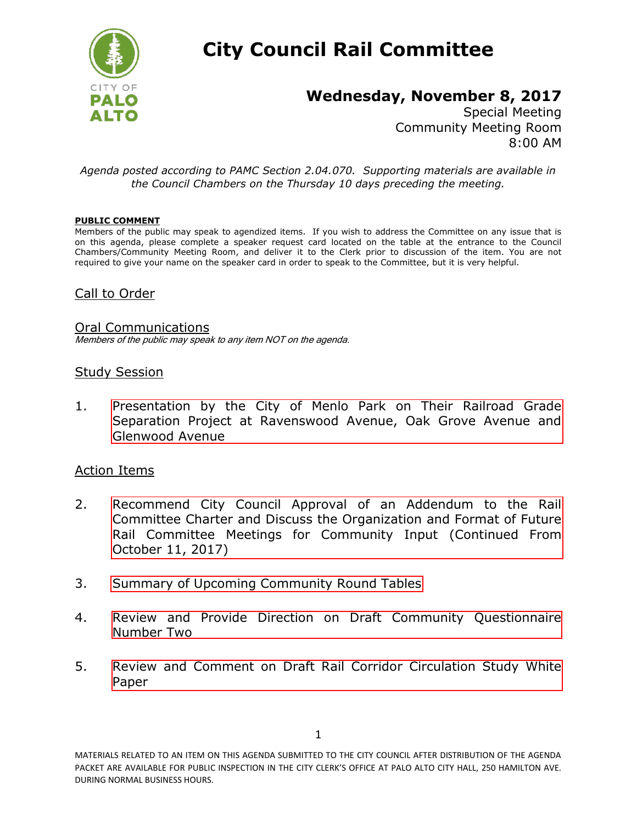

# **City Council Rail Committee**

# **Wednesday, November 8, 2017**

Special Meeting Community Meeting Room 8:00 AM

*Agenda posted according to PAMC Section 2.04.070. Supporting materials are available in the Council Chambers on the Thursday 10 days preceding the meeting.*

#### **PUBLIC COMMENT**

Members of the public may speak to agendized items. If you wish to address the Committee on any issue that is on this agenda, please complete a speaker request card located on the table at the entrance to the Council Chambers/Community Meeting Room, and deliver it to the Clerk prior to discussion of the item. You are not required to give your name on the speaker card in order to speak to the Committee, but it is very helpful.

### Call to Order

#### Oral Communications

Members of the public may speak to any item NOT on the agenda.

#### Study Session

1. [Presentation by the City of Menlo Park on Their Railroad Grade](http://www.cityofpaloalto.org/civicax/filebank/blobdload.aspx?BlobID=61942)  Separation Project at Ravenswood Avenue, Oak Grove Avenue and Glenwood Avenue

#### Action Items

- 2. [Recommend City Council Approval of an Addendum to the Rail](http://www.cityofpaloalto.org/civicax/filebank/blobdload.aspx?BlobID=61937)  Committee Charter and Discuss the Organization and Format of Future Rail Committee Meetings for Community Input (Continued From October 11, 2017)
- 3. [Summary of Upcoming Community Round Tables](http://www.cityofpaloalto.org/civicax/filebank/blobdload.aspx?BlobID=61938)
- 4. [Review and Provide Direction on Draft Community Questionnaire](http://www.cityofpaloalto.org/civicax/filebank/blobdload.aspx?BlobID=61940) Number Two
- 5. [Review and Comment on Draft Rail Corridor Circulation Study White](http://www.cityofpaloalto.org/civicax/filebank/blobdload.aspx?BlobID=61941)  Paper